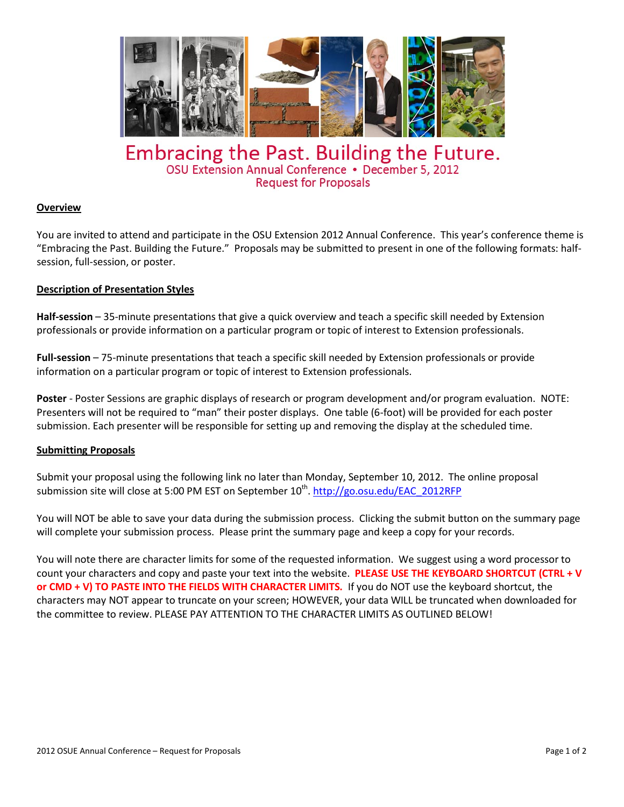

Embracing the Past. Building the Future. OSU Extension Annual Conference • December 5, 2012 **Request for Proposals** 

# **Overview**

You are invited to attend and participate in the OSU Extension 2012 Annual Conference. This year's conference theme is "Embracing the Past. Building the Future." Proposals may be submitted to present in one of the following formats: halfsession, full-session, or poster.

### **Description of Presentation Styles**

**Half-session** – 35-minute presentations that give a quick overview and teach a specific skill needed by Extension professionals or provide information on a particular program or topic of interest to Extension professionals.

**Full-session** – 75-minute presentations that teach a specific skill needed by Extension professionals or provide information on a particular program or topic of interest to Extension professionals.

**Poster** - Poster Sessions are graphic displays of research or program development and/or program evaluation. NOTE: Presenters will not be required to "man" their poster displays. One table (6-foot) will be provided for each poster submission. Each presenter will be responsible for setting up and removing the display at the scheduled time.

### **Submitting Proposals**

Submit your proposal using the following link no later than Monday, September 10, 2012. The online proposal submission site will close at 5:00 PM EST on September 10<sup>th</sup>. [http://go.osu.edu/EAC\\_2012RFP](http://go.osu.edu/EAC_2012RFP)

You will NOT be able to save your data during the submission process. Clicking the submit button on the summary page will complete your submission process. Please print the summary page and keep a copy for your records.

You will note there are character limits for some of the requested information. We suggest using a word processor to count your characters and copy and paste your text into the website. **PLEASE USE THE KEYBOARD SHORTCUT (CTRL + V or CMD + V) TO PASTE INTO THE FIELDS WITH CHARACTER LIMITS.** If you do NOT use the keyboard shortcut, the characters may NOT appear to truncate on your screen; HOWEVER, your data WILL be truncated when downloaded for the committee to review. PLEASE PAY ATTENTION TO THE CHARACTER LIMITS AS OUTLINED BELOWL